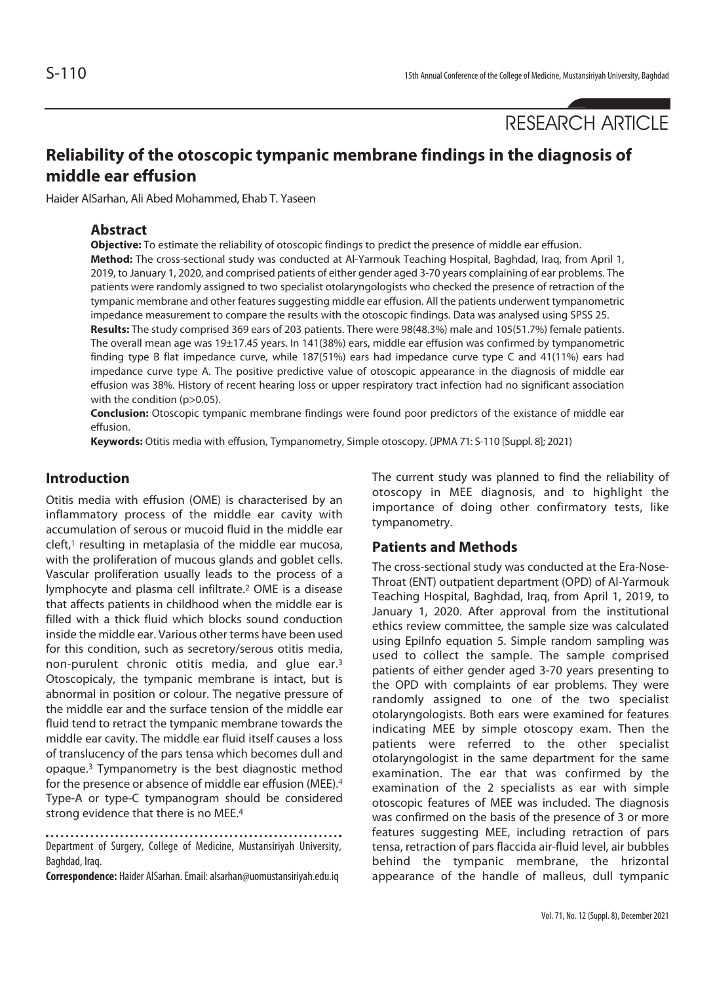RESEARCH ARTICLE

# **Reliability of the otoscopic tympanic membrane findings in the diagnosis of middle ear effusion**

Haider AlSarhan, Ali Abed Mohammed, Ehab T. Yaseen

# **Abstract**

**Objective:** To estimate the reliability of otoscopic findings to predict the presence of middle ear effusion. **Method:** The cross-sectional study was conducted at Al-Yarmouk Teaching Hospital, Baghdad, Iraq, from April 1, 2019, to January 1, 2020, and comprised patients of either gender aged 3-70 years complaining of ear problems. The patients were randomly assigned to two specialist otolaryngologists who checked the presence of retraction of the tympanic membrane and other features suggesting middle ear effusion. All the patients underwent tympanometric impedance measurement to compare the results with the otoscopic findings. Data was analysed using SPSS 25. **Results:** The study comprised 369 ears of 203 patients. There were 98(48.3%) male and 105(51.7%) female patients. The overall mean age was 19±17.45 years. In 141(38%) ears, middle ear effusion was confirmed by tympanometric finding type B flat impedance curve, while 187(51%) ears had impedance curve type C and 41(11%) ears had impedance curve type A. The positive predictive value of otoscopic appearance in the diagnosis of middle ear effusion was 38%. History of recent hearing loss or upper respiratory tract infection had no significant association with the condition (p>0.05).

**Conclusion:** Otoscopic tympanic membrane findings were found poor predictors of the existance of middle ear effusion.

**Keywords:** Otitis media with effusion, Tympanometry, Simple otoscopy. (JPMA 71: S-110 [Suppl. 8]; 2021)

# **Introduction**

Otitis media with effusion (OME) is characterised by an inflammatory process of the middle ear cavity with accumulation of serous or mucoid fluid in the middle ear  $c$ left,<sup>1</sup> resulting in metaplasia of the middle ear mucosa, with the proliferation of mucous glands and goblet cells. Vascular proliferation usually leads to the process of a lymphocyte and plasma cell infiltrate.2 OME is a disease that affects patients in childhood when the middle ear is filled with a thick fluid which blocks sound conduction inside the middle ear. Various other terms have been used for this condition, such as secretory/serous otitis media, non-purulent chronic otitis media, and glue ear.3 Otoscopicaly, the tympanic membrane is intact, but is abnormal in position or colour. The negative pressure of the middle ear and the surface tension of the middle ear fluid tend to retract the tympanic membrane towards the middle ear cavity. The middle ear fluid itself causes a loss of translucency of the pars tensa which becomes dull and opaque.3 Tympanometry is the best diagnostic method for the presence or absence of middle ear effusion (MEE).<sup>4</sup> Type-A or type-C tympanogram should be considered strong evidence that there is no MEE.4

Department of Surgery, College of Medicine, Mustansiriyah University, Baghdad, Iraq.

**Correspondence:** Haider AlSarhan. Email: alsarhan@uomustansiriyah.edu.iq

The current study was planned to find the reliability of otoscopy in MEE diagnosis, and to highlight the importance of doing other confirmatory tests, like tympanometry.

### **Patients and Methods**

The cross-sectional study was conducted at the Era-Nose-Throat (ENT) outpatient department (OPD) of Al-Yarmouk Teaching Hospital, Baghdad, Iraq, from April 1, 2019, to January 1, 2020. After approval from the institutional ethics review committee, the sample size was calculated using EpiInfo equation 5. Simple random sampling was used to collect the sample. The sample comprised patients of either gender aged 3-70 years presenting to the OPD with complaints of ear problems. They were randomly assigned to one of the two specialist otolaryngologists. Both ears were examined for features indicating MEE by simple otoscopy exam. Then the patients were referred to the other specialist otolaryngologist in the same department for the same examination. The ear that was confirmed by the examination of the 2 specialists as ear with simple otoscopic features of MEE was included. The diagnosis was confirmed on the basis of the presence of 3 or more features suggesting MEE, including retraction of pars tensa, retraction of pars flaccida air-fluid level, air bubbles behind the tympanic membrane, the hrizontal appearance of the handle of malleus, dull tympanic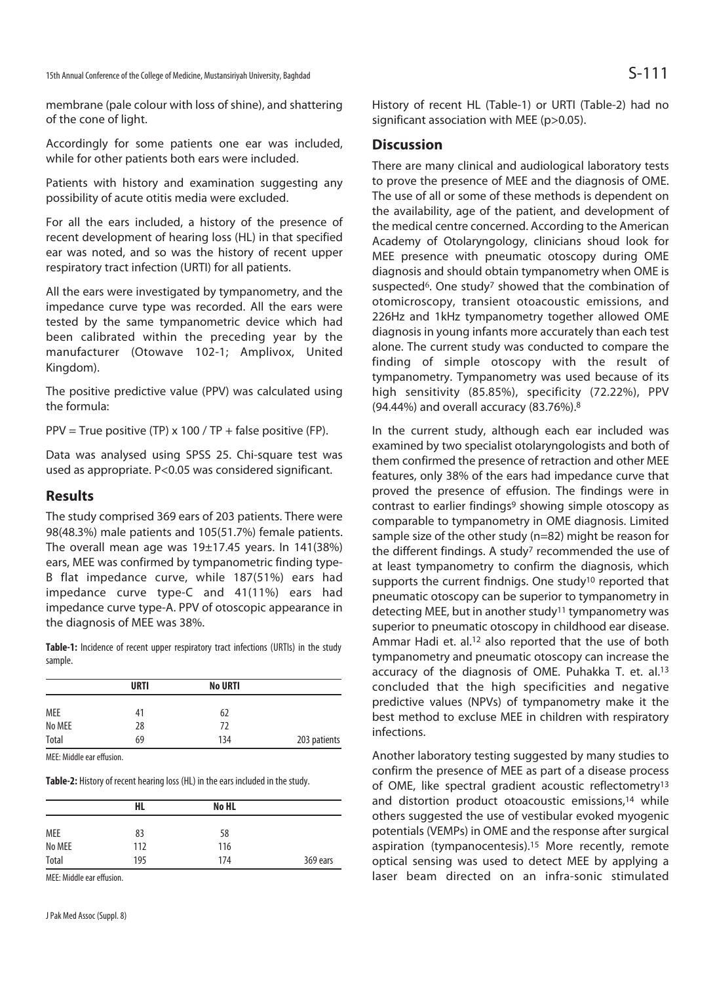membrane (pale colour with loss of shine), and shattering of the cone of light.

Accordingly for some patients one ear was included, while for other patients both ears were included.

Patients with history and examination suggesting any possibility of acute otitis media were excluded.

For all the ears included, a history of the presence of recent development of hearing loss (HL) in that specified ear was noted, and so was the history of recent upper respiratory tract infection (URTI) for all patients.

All the ears were investigated by tympanometry, and the impedance curve type was recorded. All the ears were tested by the same tympanometric device which had been calibrated within the preceding year by the manufacturer (Otowave 102-1; Amplivox, United Kingdom).

The positive predictive value (PPV) was calculated using the formula:

PPV = True positive (TP)  $\times$  100 / TP + false positive (FP).

Data was analysed using SPSS 25. Chi-square test was used as appropriate. P<0.05 was considered significant.

### **Results**

The study comprised 369 ears of 203 patients. There were 98(48.3%) male patients and 105(51.7%) female patients. The overall mean age was  $19\pm17.45$  years. In  $141(38%)$ ears, MEE was confirmed by tympanometric finding type-B flat impedance curve, while 187(51%) ears had impedance curve type-C and 41(11%) ears had impedance curve type-A. PPV of otoscopic appearance in the diagnosis of MEE was 38%.

**Table-1:** Incidence of recent upper respiratory tract infections (URTIs) in the study sample.

| <b>URTI</b> | <b>No URTI</b> |              |
|-------------|----------------|--------------|
| 41          | 62             |              |
| 28          | 72             |              |
| 69          | 134            | 203 patients |
|             |                |              |

MEE: Middle ear effusion.

**Table-2:** History of recent hearing loss (HL) in the ears included in the study.

|            | <b>HL</b> | No HL |          |
|------------|-----------|-------|----------|
| <b>MEE</b> | 83        | 58    |          |
| No MEE     | 112       | 116   |          |
| Total      | 195       | 174   | 369 ears |

MEE: Middle ear effusion.

History of recent HL (Table-1) or URTI (Table-2) had no significant association with MEE (p>0.05).

# **Discussion**

There are many clinical and audiological laboratory tests to prove the presence of MEE and the diagnosis of OME. The use of all or some of these methods is dependent on the availability, age of the patient, and development of the medical centre concerned. According to the American Academy of Otolaryngology, clinicians shoud look for MEE presence with pneumatic otoscopy during OME diagnosis and should obtain tympanometry when OME is suspected<sup>6</sup>. One study<sup>7</sup> showed that the combination of otomicroscopy, transient otoacoustic emissions, and 226Hz and 1kHz tympanometry together allowed OME diagnosis in young infants more accurately than each test alone. The current study was conducted to compare the finding of simple otoscopy with the result of tympanometry. Tympanometry was used because of its high sensitivity (85.85%), specificity (72.22%), PPV (94.44%) and overall accuracy (83.76%).8

In the current study, although each ear included was examined by two specialist otolaryngologists and both of them confirmed the presence of retraction and other MEE features, only 38% of the ears had impedance curve that proved the presence of effusion. The findings were in contrast to earlier findings<sup>9</sup> showing simple otoscopy as comparable to tympanometry in OME diagnosis. Limited sample size of the other study (n=82) might be reason for the different findings. A study<sup>7</sup> recommended the use of at least tympanometry to confirm the diagnosis, which supports the current findnigs. One study<sup>10</sup> reported that pneumatic otoscopy can be superior to tympanometry in detecting MEE, but in another study<sup>11</sup> tympanometry was superior to pneumatic otoscopy in childhood ear disease. Ammar Hadi et. al.<sup>12</sup> also reported that the use of both tympanometry and pneumatic otoscopy can increase the accuracy of the diagnosis of OME. Puhakka T. et. al.13 concluded that the high specificities and negative predictive values (NPVs) of tympanometry make it the best method to excluse MEE in children with respiratory infections.

Another laboratory testing suggested by many studies to confirm the presence of MEE as part of a disease process of OME, like spectral gradient acoustic reflectometry13 and distortion product otoacoustic emissions,<sup>14</sup> while others suggested the use of vestibular evoked myogenic potentials (VEMPs) in OME and the response after surgical aspiration (tympanocentesis).15 More recently, remote optical sensing was used to detect MEE by applying a laser beam directed on an infra-sonic stimulated